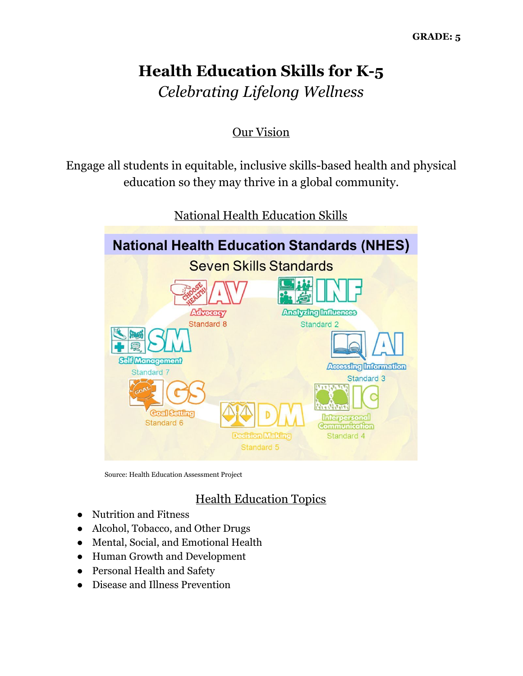# **Health Education Skills for K-5** *Celebrating Lifelong Wellness*

## Our Vision

Engage all students in equitable, inclusive skills-based health and physical education so they may thrive in a global community.



National Health Education Skills

Source: Health Education Assessment Project

## Health Education Topics

- Nutrition and Fitness
- Alcohol, Tobacco, and Other Drugs
- Mental, Social, and Emotional Health
- Human Growth and Development
- Personal Health and Safety
- Disease and Illness Prevention